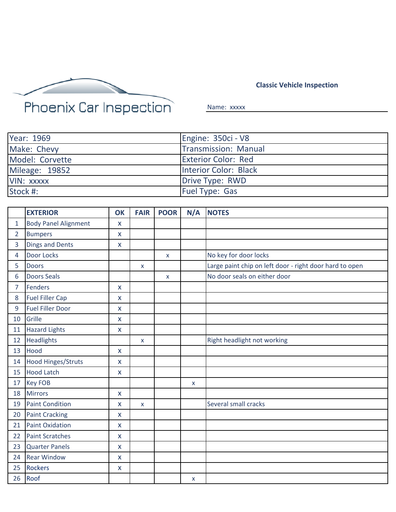

## **Classic Vehicle Inspection**

Name: xxxxx

| Year: 1969      | Engine: 350ci - V8          |
|-----------------|-----------------------------|
| Make: Chevy     | <b>Transmission: Manual</b> |
| Model: Corvette | <b>Exterior Color: Red</b>  |
| Mileage: 19852  | Interior Color: Black       |
| VIN: XXXXX      | Drive Type: RWD             |
| Stock #:        | <b>Fuel Type: Gas</b>       |

|                | <b>EXTERIOR</b>             | <b>OK</b>          | <b>FAIR</b>  | <b>POOR</b>    | N/A | <b>NOTES</b>                                            |
|----------------|-----------------------------|--------------------|--------------|----------------|-----|---------------------------------------------------------|
| $\mathbf{1}$   | <b>Body Panel Alignment</b> | X                  |              |                |     |                                                         |
| $\overline{2}$ | <b>Bumpers</b>              | X                  |              |                |     |                                                         |
| 3              | <b>Dings and Dents</b>      | X                  |              |                |     |                                                         |
| 4              | Door Locks                  |                    |              | $\pmb{\times}$ |     | No key for door locks                                   |
| 5              | <b>Doors</b>                |                    | X            |                |     | Large paint chip on left door - right door hard to open |
| 6              | <b>Doors Seals</b>          |                    |              | $\mathsf{x}$   |     | No door seals on either door                            |
| 7              | <b>Fenders</b>              | X                  |              |                |     |                                                         |
| 8              | <b>Fuel Filler Cap</b>      | $\mathsf{x}$       |              |                |     |                                                         |
| 9              | <b>Fuel Filler Door</b>     | X                  |              |                |     |                                                         |
| 10             | Grille                      | X                  |              |                |     |                                                         |
| 11             | <b>Hazard Lights</b>        | X                  |              |                |     |                                                         |
| 12             | <b>Headlights</b>           |                    | $\mathsf{x}$ |                |     | Right headlight not working                             |
| 13             | Hood                        | X                  |              |                |     |                                                         |
| 14             | <b>Hood Hinges/Struts</b>   | X                  |              |                |     |                                                         |
| 15             | <b>Hood Latch</b>           | X                  |              |                |     |                                                         |
| 17             | <b>Key FOB</b>              |                    |              |                | X   |                                                         |
| 18             | <b>Mirrors</b>              | $\mathsf{x}$       |              |                |     |                                                         |
| 19             | <b>Paint Condition</b>      | X                  | $\mathsf{x}$ |                |     | Several small cracks                                    |
| 20             | <b>Paint Cracking</b>       | $\mathsf{x}$       |              |                |     |                                                         |
| 21             | <b>Paint Oxidation</b>      | X                  |              |                |     |                                                         |
| 22             | <b>Paint Scratches</b>      | X                  |              |                |     |                                                         |
| 23             | <b>Quarter Panels</b>       | X                  |              |                |     |                                                         |
| 24             | <b>Rear Window</b>          | X                  |              |                |     |                                                         |
| 25             | <b>Rockers</b>              | $\pmb{\mathsf{X}}$ |              |                |     |                                                         |
| 26             | Roof                        |                    |              |                | X   |                                                         |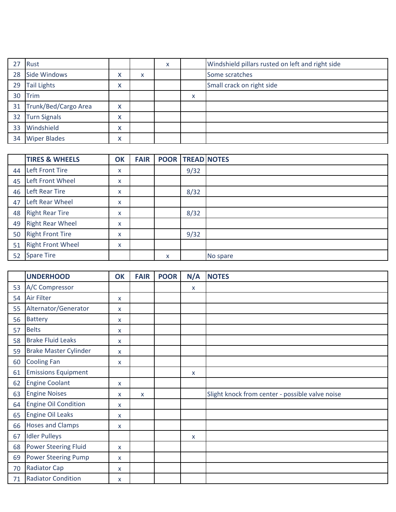| 27              | Rust                 |                           |   | x |   | Windshield pillars rusted on left and right side |
|-----------------|----------------------|---------------------------|---|---|---|--------------------------------------------------|
| 28              | Side Windows         | v<br>$\lambda$            | X |   |   | Some scratches                                   |
| 29              | <b>Tail Lights</b>   | $\checkmark$<br>$\lambda$ |   |   |   | Small crack on right side                        |
| 30              | Trim                 |                           |   |   | X |                                                  |
| 31              | Trunk/Bed/Cargo Area | $\checkmark$<br>$\lambda$ |   |   |   |                                                  |
| 32 <sup>°</sup> | <b>Turn Signals</b>  | $\checkmark$<br>$\lambda$ |   |   |   |                                                  |
| 33              | Windshield           | $\checkmark$<br>$\lambda$ |   |   |   |                                                  |
| 34              | <b>Wiper Blades</b>  | v<br>$\lambda$            |   |   |   |                                                  |

|    | <b>TIRES &amp; WHEELS</b> | OK | <b>FAIR</b> |   | <b>POOR TREAD NOTES</b> |          |
|----|---------------------------|----|-------------|---|-------------------------|----------|
| 44 | <b>Left Front Tire</b>    | X  |             |   | 9/32                    |          |
| 45 | Left Front Wheel          | X  |             |   |                         |          |
| 46 | <b>Left Rear Tire</b>     | x  |             |   | 8/32                    |          |
| 47 | Left Rear Wheel           | x  |             |   |                         |          |
| 48 | <b>Right Rear Tire</b>    | x  |             |   | 8/32                    |          |
| 49 | <b>Right Rear Wheel</b>   | x  |             |   |                         |          |
| 50 | <b>Right Front Tire</b>   | X  |             |   | 9/32                    |          |
| 51 | <b>Right Front Wheel</b>  | x  |             |   |                         |          |
| 52 | <b>Spare Tire</b>         |    |             | X |                         | No spare |

|    | <b>UNDERHOOD</b>             | <b>OK</b>    | <b>FAIR</b> | <b>POOR</b> | N/A | <b>NOTES</b>                                    |
|----|------------------------------|--------------|-------------|-------------|-----|-------------------------------------------------|
| 53 | A/C Compressor               |              |             |             | X   |                                                 |
| 54 | Air Filter                   | X            |             |             |     |                                                 |
| 55 | Alternator/Generator         | X            |             |             |     |                                                 |
| 56 | <b>Battery</b>               | X            |             |             |     |                                                 |
| 57 | <b>Belts</b>                 | x            |             |             |     |                                                 |
| 58 | <b>Brake Fluid Leaks</b>     | X            |             |             |     |                                                 |
| 59 | <b>Brake Master Cylinder</b> | X            |             |             |     |                                                 |
| 60 | <b>Cooling Fan</b>           | X            |             |             |     |                                                 |
| 61 | <b>Emissions Equipment</b>   |              |             |             | X   |                                                 |
| 62 | <b>Engine Coolant</b>        | X            |             |             |     |                                                 |
| 63 | <b>Engine Noises</b>         | X            | X           |             |     | Slight knock from center - possible valve noise |
| 64 | <b>Engine Oil Condition</b>  | x            |             |             |     |                                                 |
| 65 | <b>Engine Oil Leaks</b>      | X.           |             |             |     |                                                 |
| 66 | <b>Hoses and Clamps</b>      | X            |             |             |     |                                                 |
| 67 | <b>Idler Pulleys</b>         |              |             |             | X   |                                                 |
| 68 | <b>Power Steering Fluid</b>  | $\mathsf{x}$ |             |             |     |                                                 |
| 69 | <b>Power Steering Pump</b>   | X            |             |             |     |                                                 |
| 70 | <b>Radiator Cap</b>          | X            |             |             |     |                                                 |
| 71 | <b>Radiator Condition</b>    | $\mathsf{x}$ |             |             |     |                                                 |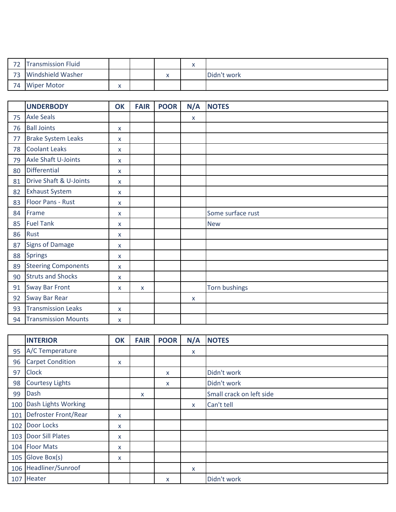| $\neg$ | <b>Transmission Fluid</b> |   |  | w<br>$\sqrt{2}$ |             |
|--------|---------------------------|---|--|-----------------|-------------|
|        | <b>Windshield Washer</b>  |   |  |                 | Didn't work |
| 74     | <b>Wiper Motor</b>        | v |  |                 |             |

|    | <b>UNDERBODY</b>           | <b>OK</b>    | <b>FAIR</b> | <b>POOR</b> | N/A | <b>NOTES</b>         |
|----|----------------------------|--------------|-------------|-------------|-----|----------------------|
| 75 | <b>Axle Seals</b>          |              |             |             | X   |                      |
| 76 | <b>Ball Joints</b>         | X            |             |             |     |                      |
| 77 | <b>Brake System Leaks</b>  | X            |             |             |     |                      |
| 78 | <b>Coolant Leaks</b>       | X            |             |             |     |                      |
| 79 | Axle Shaft U-Joints        | X            |             |             |     |                      |
| 80 | Differential               | X            |             |             |     |                      |
| 81 | Drive Shaft & U-Joints     | X            |             |             |     |                      |
| 82 | <b>Exhaust System</b>      | X            |             |             |     |                      |
| 83 | Floor Pans - Rust          | X            |             |             |     |                      |
| 84 | Frame                      | X            |             |             |     | Some surface rust    |
| 85 | <b>Fuel Tank</b>           | x            |             |             |     | <b>New</b>           |
| 86 | Rust                       | X            |             |             |     |                      |
| 87 | <b>Signs of Damage</b>     | X            |             |             |     |                      |
| 88 | <b>Springs</b>             | X            |             |             |     |                      |
| 89 | <b>Steering Components</b> | $\mathsf{x}$ |             |             |     |                      |
| 90 | <b>Struts and Shocks</b>   | X            |             |             |     |                      |
| 91 | <b>Sway Bar Front</b>      | X            | X           |             |     | <b>Torn bushings</b> |
| 92 | <b>Sway Bar Rear</b>       |              |             |             | X   |                      |
| 93 | <b>Transmission Leaks</b>  | $\mathsf{x}$ |             |             |     |                      |
| 94 | <b>Transmission Mounts</b> | X            |             |             |     |                      |

|     | <b>INTERIOR</b>         | OK | <b>FAIR</b> | <b>POOR</b> | N/A          | <b>NOTES</b>             |
|-----|-------------------------|----|-------------|-------------|--------------|--------------------------|
| 95  | A/C Temperature         |    |             |             | X            |                          |
| 96  | <b>Carpet Condition</b> | X  |             |             |              |                          |
| 97  | <b>Clock</b>            |    |             | X           |              | Didn't work              |
| 98  | <b>Courtesy Lights</b>  |    |             | X           |              | Didn't work              |
| 99  | Dash                    |    | X           |             |              | Small crack on left side |
| 100 | Dash Lights Working     |    |             |             | $\mathsf{x}$ | Can't tell               |
| 101 | Defroster Front/Rear    | X  |             |             |              |                          |
| 102 | Door Locks              | X  |             |             |              |                          |
| 103 | <b>Door Sill Plates</b> | x  |             |             |              |                          |
|     | 104 Floor Mats          | X  |             |             |              |                          |
| 105 | Glove Box(s)            | X  |             |             |              |                          |
|     | 106 Headliner/Sunroof   |    |             |             | X            |                          |
| 107 | Heater                  |    |             | X           |              | Didn't work              |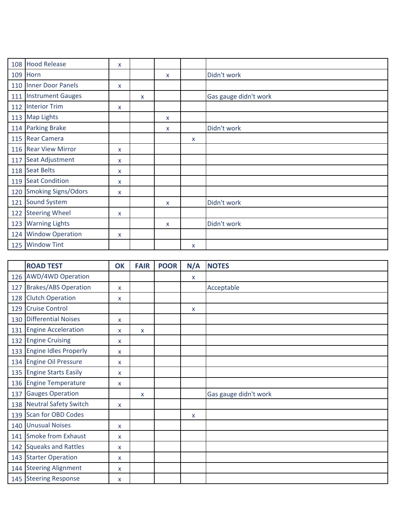| 108 | <b>Hood Release</b>        | X |   |   |              |                       |
|-----|----------------------------|---|---|---|--------------|-----------------------|
| 109 | Horn                       |   |   | X |              | Didn't work           |
|     | 110 Inner Door Panels      | X |   |   |              |                       |
| 111 | <b>Instrument Gauges</b>   |   | X |   |              | Gas gauge didn't work |
|     | 112 Interior Trim          | X |   |   |              |                       |
|     | 113 Map Lights             |   |   | X |              |                       |
| 114 | <b>Parking Brake</b>       |   |   | X |              | Didn't work           |
|     | 115 Rear Camera            |   |   |   | X            |                       |
|     | 116 Rear View Mirror       | X |   |   |              |                       |
| 117 | Seat Adjustment            | X |   |   |              |                       |
|     | 118 Seat Belts             | X |   |   |              |                       |
|     | 119 Seat Condition         | X |   |   |              |                       |
| 120 | <b>Smoking Signs/Odors</b> | X |   |   |              |                       |
| 121 | <b>Sound System</b>        |   |   | X |              | Didn't work           |
|     | 122 Steering Wheel         | X |   |   |              |                       |
| 123 | <b>Warning Lights</b>      |   |   | X |              | Didn't work           |
| 124 | <b>Window Operation</b>    | X |   |   |              |                       |
| 125 | <b>Window Tint</b>         |   |   |   | $\mathsf{x}$ |                       |

|     | <b>ROAD TEST</b>            | <b>OK</b>    | <b>FAIR</b> | <b>POOR</b> | N/A          | <b>NOTES</b>          |
|-----|-----------------------------|--------------|-------------|-------------|--------------|-----------------------|
|     | 126 AWD/4WD Operation       |              |             |             | $\mathsf{X}$ |                       |
| 127 | <b>Brakes/ABS Operation</b> | $\mathsf{x}$ |             |             |              | Acceptable            |
| 128 | <b>Clutch Operation</b>     | X            |             |             |              |                       |
| 129 | <b>Cruise Control</b>       |              |             |             | x            |                       |
|     | 130 Differential Noises     | X            |             |             |              |                       |
| 131 | <b>Engine Acceleration</b>  | X            | X           |             |              |                       |
| 132 | <b>Engine Cruising</b>      | x            |             |             |              |                       |
|     | 133 Engine Idles Properly   | X            |             |             |              |                       |
|     | 134 Engine Oil Pressure     | X            |             |             |              |                       |
|     | 135 Engine Starts Easily    | X            |             |             |              |                       |
|     | 136 Engine Temperature      | X            |             |             |              |                       |
| 137 | <b>Gauges Operation</b>     |              | X           |             |              | Gas gauge didn't work |
|     | 138 Neutral Safety Switch   | X            |             |             |              |                       |
| 139 | <b>Scan for OBD Codes</b>   |              |             |             | x            |                       |
|     | 140 Unusual Noises          | X            |             |             |              |                       |
| 141 | Smoke from Exhaust          | X            |             |             |              |                       |
|     | 142 Squeaks and Rattles     | X            |             |             |              |                       |
|     | 143 Starter Operation       | X            |             |             |              |                       |
|     | 144 Steering Alignment      | X            |             |             |              |                       |
|     | 145 Steering Response       | x            |             |             |              |                       |